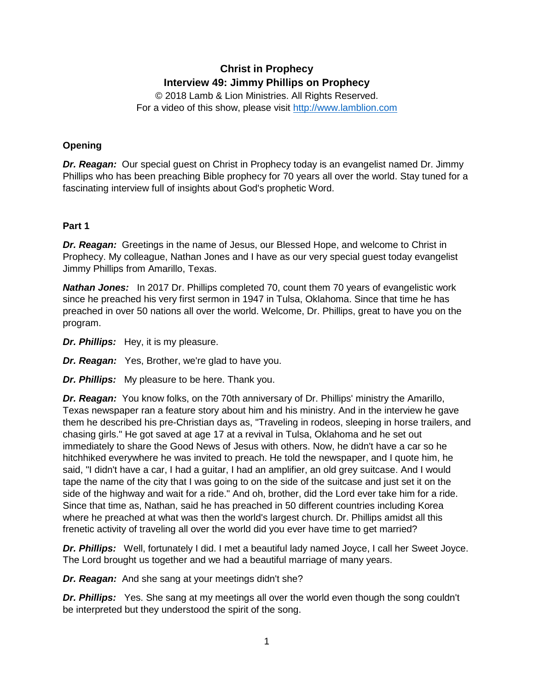# **Christ in Prophecy Interview 49: Jimmy Phillips on Prophecy**

© 2018 Lamb & Lion Ministries. All Rights Reserved. For a video of this show, please visit [http://www.lamblion.com](http://www.lamblion.com/)

# **Opening**

*Dr. Reagan:* Our special guest on Christ in Prophecy today is an evangelist named Dr. Jimmy Phillips who has been preaching Bible prophecy for 70 years all over the world. Stay tuned for a fascinating interview full of insights about God's prophetic Word.

## **Part 1**

*Dr. Reagan:* Greetings in the name of Jesus, our Blessed Hope, and welcome to Christ in Prophecy. My colleague, Nathan Jones and I have as our very special guest today evangelist Jimmy Phillips from Amarillo, Texas.

*Nathan Jones:* In 2017 Dr. Phillips completed 70, count them 70 years of evangelistic work since he preached his very first sermon in 1947 in Tulsa, Oklahoma. Since that time he has preached in over 50 nations all over the world. Welcome, Dr. Phillips, great to have you on the program.

*Dr. Phillips:* Hey, it is my pleasure.

*Dr. Reagan:* Yes, Brother, we're glad to have you.

*Dr. Phillips:* My pleasure to be here. Thank you.

*Dr. Reagan:* You know folks, on the 70th anniversary of Dr. Phillips' ministry the Amarillo, Texas newspaper ran a feature story about him and his ministry. And in the interview he gave them he described his pre-Christian days as, "Traveling in rodeos, sleeping in horse trailers, and chasing girls." He got saved at age 17 at a revival in Tulsa, Oklahoma and he set out immediately to share the Good News of Jesus with others. Now, he didn't have a car so he hitchhiked everywhere he was invited to preach. He told the newspaper, and I quote him, he said, "I didn't have a car, I had a guitar, I had an amplifier, an old grey suitcase. And I would tape the name of the city that I was going to on the side of the suitcase and just set it on the side of the highway and wait for a ride." And oh, brother, did the Lord ever take him for a ride. Since that time as, Nathan, said he has preached in 50 different countries including Korea where he preached at what was then the world's largest church. Dr. Phillips amidst all this frenetic activity of traveling all over the world did you ever have time to get married?

*Dr. Phillips:* Well, fortunately I did. I met a beautiful lady named Joyce, I call her Sweet Joyce. The Lord brought us together and we had a beautiful marriage of many years.

*Dr. Reagan:* And she sang at your meetings didn't she?

*Dr. Phillips:* Yes. She sang at my meetings all over the world even though the song couldn't be interpreted but they understood the spirit of the song.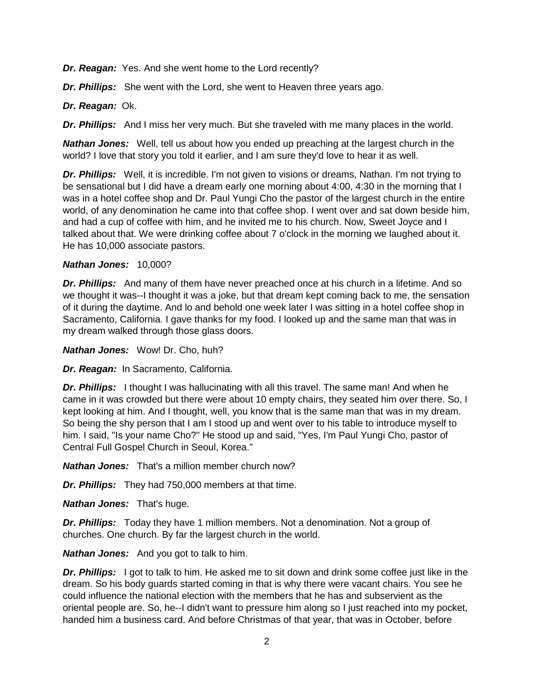*Dr. Reagan:* Yes. And she went home to the Lord recently?

*Dr. Phillips:* She went with the Lord, she went to Heaven three years ago.

#### *Dr. Reagan:* Ok.

*Dr. Phillips:* And I miss her very much. But she traveled with me many places in the world.

*Nathan Jones:* Well, tell us about how you ended up preaching at the largest church in the world? I love that story you told it earlier, and I am sure they'd love to hear it as well.

*Dr. Phillips:* Well, it is incredible. I'm not given to visions or dreams, Nathan. I'm not trying to be sensational but I did have a dream early one morning about 4:00, 4:30 in the morning that I was in a hotel coffee shop and Dr. Paul Yungi Cho the pastor of the largest church in the entire world, of any denomination he came into that coffee shop. I went over and sat down beside him, and had a cup of coffee with him, and he invited me to his church. Now, Sweet Joyce and I talked about that. We were drinking coffee about 7 o'clock in the morning we laughed about it. He has 10,000 associate pastors.

#### *Nathan Jones:* 10,000?

*Dr. Phillips:* And many of them have never preached once at his church in a lifetime. And so we thought it was--I thought it was a joke, but that dream kept coming back to me, the sensation of it during the daytime. And lo and behold one week later I was sitting in a hotel coffee shop in Sacramento, California. I gave thanks for my food. I looked up and the same man that was in my dream walked through those glass doors.

*Nathan Jones:* Wow! Dr. Cho, huh?

*Dr. Reagan:* In Sacramento, California.

**Dr. Phillips:** I thought I was hallucinating with all this travel. The same man! And when he came in it was crowded but there were about 10 empty chairs, they seated him over there. So, I kept looking at him. And I thought, well, you know that is the same man that was in my dream. So being the shy person that I am I stood up and went over to his table to introduce myself to him. I said, "Is your name Cho?" He stood up and said, "Yes, I'm Paul Yungi Cho, pastor of Central Full Gospel Church in Seoul, Korea."

*Nathan Jones:* That's a million member church now?

*Dr. Phillips:* They had 750,000 members at that time.

*Nathan Jones:* That's huge.

*Dr. Phillips:* Today they have 1 million members. Not a denomination. Not a group of churches. One church. By far the largest church in the world.

*Nathan Jones:* And you got to talk to him.

*Dr. Phillips:* I got to talk to him. He asked me to sit down and drink some coffee just like in the dream. So his body guards started coming in that is why there were vacant chairs. You see he could influence the national election with the members that he has and subservient as the oriental people are. So, he--I didn't want to pressure him along so I just reached into my pocket, handed him a business card. And before Christmas of that year, that was in October, before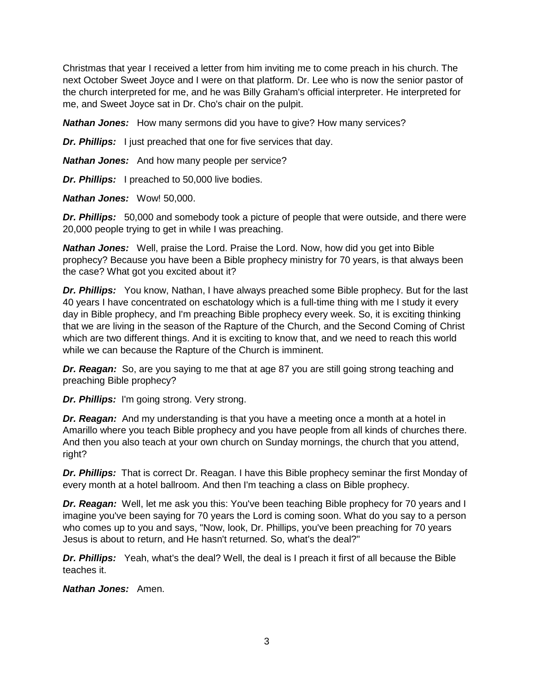Christmas that year I received a letter from him inviting me to come preach in his church. The next October Sweet Joyce and I were on that platform. Dr. Lee who is now the senior pastor of the church interpreted for me, and he was Billy Graham's official interpreter. He interpreted for me, and Sweet Joyce sat in Dr. Cho's chair on the pulpit.

*Nathan Jones:* How many sermons did you have to give? How many services?

**Dr. Phillips:** I just preached that one for five services that day.

*Nathan Jones:* And how many people per service?

*Dr. Phillips:* I preached to 50,000 live bodies.

*Nathan Jones:* Wow! 50,000.

*Dr. Phillips:* 50,000 and somebody took a picture of people that were outside, and there were 20,000 people trying to get in while I was preaching.

*Nathan Jones:* Well, praise the Lord. Praise the Lord. Now, how did you get into Bible prophecy? Because you have been a Bible prophecy ministry for 70 years, is that always been the case? What got you excited about it?

*Dr. Phillips:* You know, Nathan, I have always preached some Bible prophecy. But for the last 40 years I have concentrated on eschatology which is a full-time thing with me I study it every day in Bible prophecy, and I'm preaching Bible prophecy every week. So, it is exciting thinking that we are living in the season of the Rapture of the Church, and the Second Coming of Christ which are two different things. And it is exciting to know that, and we need to reach this world while we can because the Rapture of the Church is imminent.

*Dr. Reagan:* So, are you saying to me that at age 87 you are still going strong teaching and preaching Bible prophecy?

*Dr. Phillips:* I'm going strong. Very strong.

*Dr. Reagan:* And my understanding is that you have a meeting once a month at a hotel in Amarillo where you teach Bible prophecy and you have people from all kinds of churches there. And then you also teach at your own church on Sunday mornings, the church that you attend, right?

*Dr. Phillips:* That is correct Dr. Reagan. I have this Bible prophecy seminar the first Monday of every month at a hotel ballroom. And then I'm teaching a class on Bible prophecy.

*Dr. Reagan:* Well, let me ask you this: You've been teaching Bible prophecy for 70 years and I imagine you've been saying for 70 years the Lord is coming soon. What do you say to a person who comes up to you and says, "Now, look, Dr. Phillips, you've been preaching for 70 years Jesus is about to return, and He hasn't returned. So, what's the deal?"

*Dr. Phillips:* Yeah, what's the deal? Well, the deal is I preach it first of all because the Bible teaches it.

*Nathan Jones:* Amen.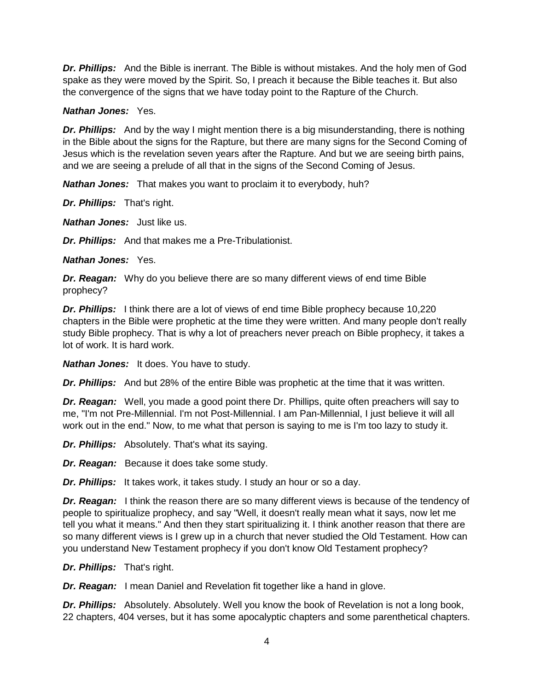*Dr. Phillips:* And the Bible is inerrant. The Bible is without mistakes. And the holy men of God spake as they were moved by the Spirit. So, I preach it because the Bible teaches it. But also the convergence of the signs that we have today point to the Rapture of the Church.

#### *Nathan Jones:* Yes.

*Dr. Phillips:* And by the way I might mention there is a big misunderstanding, there is nothing in the Bible about the signs for the Rapture, but there are many signs for the Second Coming of Jesus which is the revelation seven years after the Rapture. And but we are seeing birth pains, and we are seeing a prelude of all that in the signs of the Second Coming of Jesus.

*Nathan Jones:* That makes you want to proclaim it to everybody, huh?

*Dr. Phillips:* That's right.

*Nathan Jones:* Just like us.

*Dr. Phillips:* And that makes me a Pre-Tribulationist.

#### *Nathan Jones:* Yes.

*Dr. Reagan:* Why do you believe there are so many different views of end time Bible prophecy?

*Dr. Phillips:* I think there are a lot of views of end time Bible prophecy because 10,220 chapters in the Bible were prophetic at the time they were written. And many people don't really study Bible prophecy. That is why a lot of preachers never preach on Bible prophecy, it takes a lot of work. It is hard work.

*Nathan Jones:* It does. You have to study.

*Dr. Phillips:* And but 28% of the entire Bible was prophetic at the time that it was written.

*Dr. Reagan:* Well, you made a good point there Dr. Phillips, quite often preachers will say to me, "I'm not Pre-Millennial. I'm not Post-Millennial. I am Pan-Millennial, I just believe it will all work out in the end." Now, to me what that person is saying to me is I'm too lazy to study it.

*Dr. Phillips:* Absolutely. That's what its saying.

*Dr. Reagan:* Because it does take some study.

*Dr. Phillips:* It takes work, it takes study. I study an hour or so a day.

*Dr. Reagan:* I think the reason there are so many different views is because of the tendency of people to spiritualize prophecy, and say "Well, it doesn't really mean what it says, now let me tell you what it means." And then they start spiritualizing it. I think another reason that there are so many different views is I grew up in a church that never studied the Old Testament. How can you understand New Testament prophecy if you don't know Old Testament prophecy?

*Dr. Phillips:* That's right.

*Dr. Reagan:* I mean Daniel and Revelation fit together like a hand in glove.

*Dr. Phillips:* Absolutely. Absolutely. Well you know the book of Revelation is not a long book, 22 chapters, 404 verses, but it has some apocalyptic chapters and some parenthetical chapters.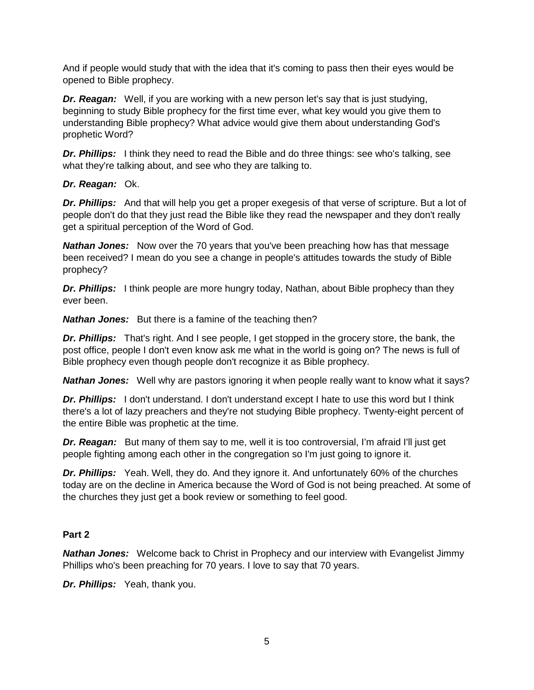And if people would study that with the idea that it's coming to pass then their eyes would be opened to Bible prophecy.

*Dr. Reagan:* Well, if you are working with a new person let's say that is just studying, beginning to study Bible prophecy for the first time ever, what key would you give them to understanding Bible prophecy? What advice would give them about understanding God's prophetic Word?

**Dr. Phillips:** I think they need to read the Bible and do three things: see who's talking, see what they're talking about, and see who they are talking to.

## *Dr. Reagan:* Ok.

*Dr. Phillips:* And that will help you get a proper exegesis of that verse of scripture. But a lot of people don't do that they just read the Bible like they read the newspaper and they don't really get a spiritual perception of the Word of God.

*Nathan Jones:* Now over the 70 years that you've been preaching how has that message been received? I mean do you see a change in people's attitudes towards the study of Bible prophecy?

*Dr. Phillips:* I think people are more hungry today, Nathan, about Bible prophecy than they ever been.

*Nathan Jones:* But there is a famine of the teaching then?

*Dr. Phillips:* That's right. And I see people, I get stopped in the grocery store, the bank, the post office, people I don't even know ask me what in the world is going on? The news is full of Bible prophecy even though people don't recognize it as Bible prophecy.

**Nathan Jones:** Well why are pastors ignoring it when people really want to know what it says?

*Dr. Phillips:* I don't understand. I don't understand except I hate to use this word but I think there's a lot of lazy preachers and they're not studying Bible prophecy. Twenty-eight percent of the entire Bible was prophetic at the time.

*Dr. Reagan:* But many of them say to me, well it is too controversial, I'm afraid I'll just get people fighting among each other in the congregation so I'm just going to ignore it.

*Dr. Phillips:* Yeah. Well, they do. And they ignore it. And unfortunately 60% of the churches today are on the decline in America because the Word of God is not being preached. At some of the churches they just get a book review or something to feel good.

# **Part 2**

*Nathan Jones:* Welcome back to Christ in Prophecy and our interview with Evangelist Jimmy Phillips who's been preaching for 70 years. I love to say that 70 years.

*Dr. Phillips:* Yeah, thank you.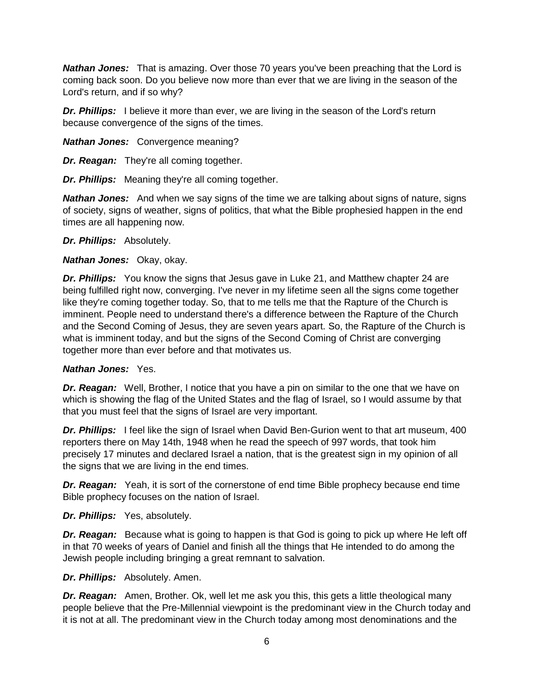*Nathan Jones:* That is amazing. Over those 70 years you've been preaching that the Lord is coming back soon. Do you believe now more than ever that we are living in the season of the Lord's return, and if so why?

*Dr. Phillips:* I believe it more than ever, we are living in the season of the Lord's return because convergence of the signs of the times.

*Nathan Jones:* Convergence meaning?

*Dr. Reagan:* They're all coming together.

*Dr. Phillips:* Meaning they're all coming together.

*Nathan Jones:* And when we say signs of the time we are talking about signs of nature, signs of society, signs of weather, signs of politics, that what the Bible prophesied happen in the end times are all happening now.

*Dr. Phillips:* Absolutely.

*Nathan Jones:* Okay, okay.

*Dr. Phillips:* You know the signs that Jesus gave in Luke 21, and Matthew chapter 24 are being fulfilled right now, converging. I've never in my lifetime seen all the signs come together like they're coming together today. So, that to me tells me that the Rapture of the Church is imminent. People need to understand there's a difference between the Rapture of the Church and the Second Coming of Jesus, they are seven years apart. So, the Rapture of the Church is what is imminent today, and but the signs of the Second Coming of Christ are converging together more than ever before and that motivates us.

## *Nathan Jones:* Yes.

**Dr. Reagan:** Well, Brother, I notice that you have a pin on similar to the one that we have on which is showing the flag of the United States and the flag of Israel, so I would assume by that that you must feel that the signs of Israel are very important.

*Dr. Phillips:* I feel like the sign of Israel when David Ben-Gurion went to that art museum, 400 reporters there on May 14th, 1948 when he read the speech of 997 words, that took him precisely 17 minutes and declared Israel a nation, that is the greatest sign in my opinion of all the signs that we are living in the end times.

*Dr. Reagan:* Yeah, it is sort of the cornerstone of end time Bible prophecy because end time Bible prophecy focuses on the nation of Israel.

*Dr. Phillips:* Yes, absolutely.

*Dr. Reagan:* Because what is going to happen is that God is going to pick up where He left off in that 70 weeks of years of Daniel and finish all the things that He intended to do among the Jewish people including bringing a great remnant to salvation.

*Dr. Phillips:* Absolutely. Amen.

*Dr. Reagan:* Amen, Brother. Ok, well let me ask you this, this gets a little theological many people believe that the Pre-Millennial viewpoint is the predominant view in the Church today and it is not at all. The predominant view in the Church today among most denominations and the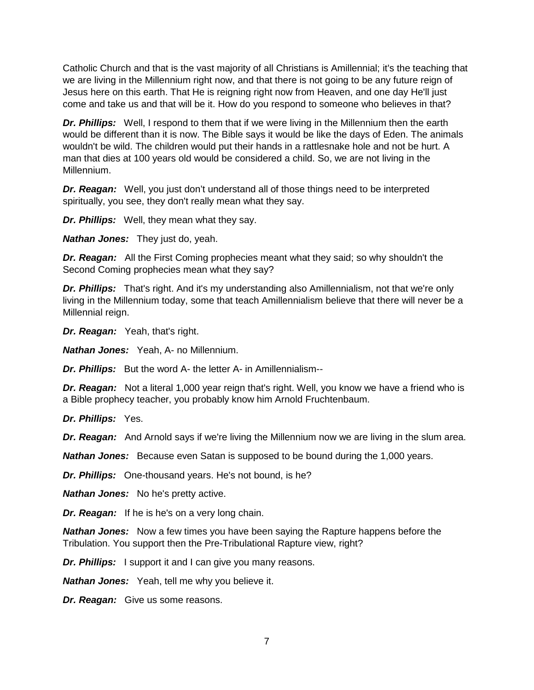Catholic Church and that is the vast majority of all Christians is Amillennial; it's the teaching that we are living in the Millennium right now, and that there is not going to be any future reign of Jesus here on this earth. That He is reigning right now from Heaven, and one day He'll just come and take us and that will be it. How do you respond to someone who believes in that?

*Dr. Phillips:* Well, I respond to them that if we were living in the Millennium then the earth would be different than it is now. The Bible says it would be like the days of Eden. The animals wouldn't be wild. The children would put their hands in a rattlesnake hole and not be hurt. A man that dies at 100 years old would be considered a child. So, we are not living in the Millennium.

*Dr. Reagan:* Well, you just don't understand all of those things need to be interpreted spiritually, you see, they don't really mean what they say.

*Dr. Phillips:* Well, they mean what they say.

*Nathan Jones:* They just do, yeah.

*Dr. Reagan:* All the First Coming prophecies meant what they said; so why shouldn't the Second Coming prophecies mean what they say?

*Dr. Phillips:* That's right. And it's my understanding also Amillennialism, not that we're only living in the Millennium today, some that teach Amillennialism believe that there will never be a Millennial reign.

*Dr. Reagan:* Yeah, that's right.

*Nathan Jones:* Yeah, A- no Millennium.

*Dr. Phillips:* But the word A- the letter A- in Amillennialism--

**Dr. Reagan:** Not a literal 1,000 year reign that's right. Well, you know we have a friend who is a Bible prophecy teacher, you probably know him Arnold Fruchtenbaum.

*Dr. Phillips:* Yes.

*Dr. Reagan:* And Arnold says if we're living the Millennium now we are living in the slum area.

*Nathan Jones:* Because even Satan is supposed to be bound during the 1,000 years.

*Dr. Phillips:* One-thousand years. He's not bound, is he?

*Nathan Jones:* No he's pretty active.

*Dr. Reagan:* If he is he's on a very long chain.

*Nathan Jones:* Now a few times you have been saying the Rapture happens before the Tribulation. You support then the Pre-Tribulational Rapture view, right?

*Dr. Phillips:* I support it and I can give you many reasons.

*Nathan Jones:* Yeah, tell me why you believe it.

*Dr. Reagan:* Give us some reasons.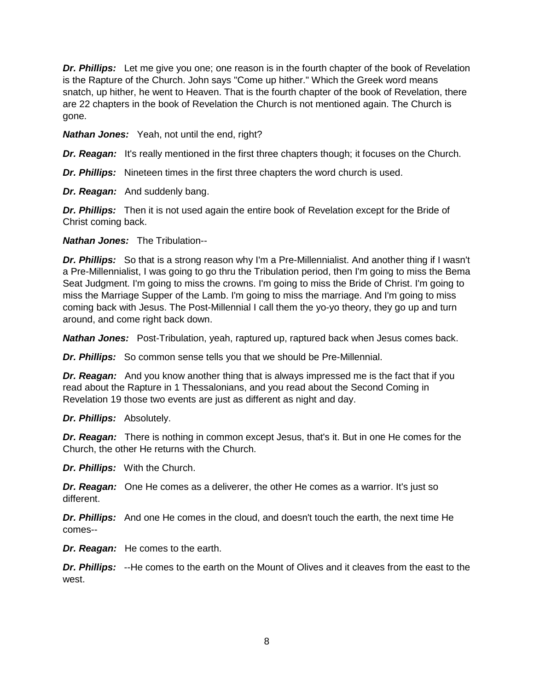*Dr. Phillips:* Let me give you one; one reason is in the fourth chapter of the book of Revelation is the Rapture of the Church. John says "Come up hither." Which the Greek word means snatch, up hither, he went to Heaven. That is the fourth chapter of the book of Revelation, there are 22 chapters in the book of Revelation the Church is not mentioned again. The Church is gone.

*Nathan Jones:* Yeah, not until the end, right?

**Dr. Reagan:** It's really mentioned in the first three chapters though; it focuses on the Church.

*Dr. Phillips:* Nineteen times in the first three chapters the word church is used.

*Dr. Reagan:* And suddenly bang.

**Dr. Phillips:** Then it is not used again the entire book of Revelation except for the Bride of Christ coming back.

*Nathan Jones:* The Tribulation--

*Dr. Phillips:* So that is a strong reason why I'm a Pre-Millennialist. And another thing if I wasn't a Pre-Millennialist, I was going to go thru the Tribulation period, then I'm going to miss the Bema Seat Judgment. I'm going to miss the crowns. I'm going to miss the Bride of Christ. I'm going to miss the Marriage Supper of the Lamb. I'm going to miss the marriage. And I'm going to miss coming back with Jesus. The Post-Millennial I call them the yo-yo theory, they go up and turn around, and come right back down.

*Nathan Jones:* Post-Tribulation, yeah, raptured up, raptured back when Jesus comes back.

*Dr. Phillips:* So common sense tells you that we should be Pre-Millennial.

*Dr. Reagan:* And you know another thing that is always impressed me is the fact that if you read about the Rapture in 1 Thessalonians, and you read about the Second Coming in Revelation 19 those two events are just as different as night and day.

*Dr. Phillips:* Absolutely.

*Dr. Reagan:* There is nothing in common except Jesus, that's it. But in one He comes for the Church, the other He returns with the Church.

*Dr. Phillips:* With the Church.

*Dr. Reagan:* One He comes as a deliverer, the other He comes as a warrior. It's just so different.

*Dr. Phillips:* And one He comes in the cloud, and doesn't touch the earth, the next time He comes--

*Dr. Reagan:* He comes to the earth.

*Dr. Phillips:* --He comes to the earth on the Mount of Olives and it cleaves from the east to the west.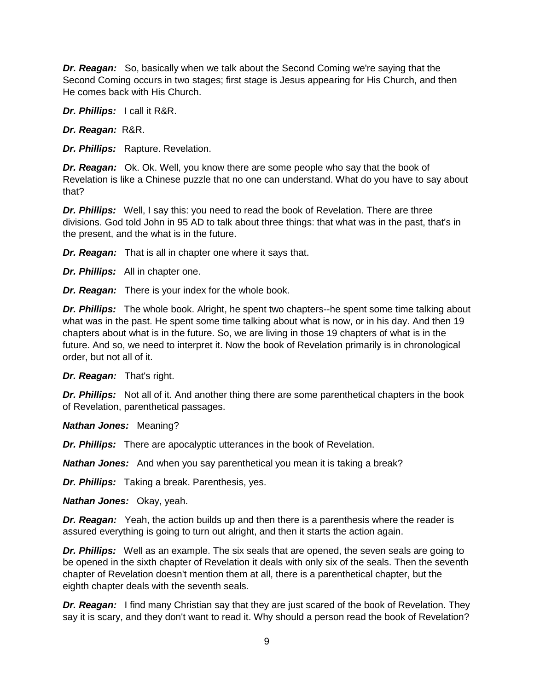*Dr. Reagan:* So, basically when we talk about the Second Coming we're saying that the Second Coming occurs in two stages; first stage is Jesus appearing for His Church, and then He comes back with His Church.

*Dr. Phillips:* I call it R&R.

*Dr. Reagan:* R&R.

*Dr. Phillips:* Rapture. Revelation.

*Dr. Reagan:* Ok. Ok. Well, you know there are some people who say that the book of Revelation is like a Chinese puzzle that no one can understand. What do you have to say about that?

**Dr. Phillips:** Well, I say this: you need to read the book of Revelation. There are three divisions. God told John in 95 AD to talk about three things: that what was in the past, that's in the present, and the what is in the future.

*Dr. Reagan:* That is all in chapter one where it says that.

*Dr. Phillips:* All in chapter one.

*Dr. Reagan:* There is your index for the whole book.

*Dr. Phillips:* The whole book. Alright, he spent two chapters--he spent some time talking about what was in the past. He spent some time talking about what is now, or in his day. And then 19 chapters about what is in the future. So, we are living in those 19 chapters of what is in the future. And so, we need to interpret it. Now the book of Revelation primarily is in chronological order, but not all of it.

*Dr. Reagan:* That's right.

*Dr. Phillips:* Not all of it. And another thing there are some parenthetical chapters in the book of Revelation, parenthetical passages.

*Nathan Jones:* Meaning?

*Dr. Phillips:* There are apocalyptic utterances in the book of Revelation.

*Nathan Jones:* And when you say parenthetical you mean it is taking a break?

*Dr. Phillips:* Taking a break. Parenthesis, yes.

*Nathan Jones:* Okay, yeah.

*Dr. Reagan:* Yeah, the action builds up and then there is a parenthesis where the reader is assured everything is going to turn out alright, and then it starts the action again.

**Dr. Phillips:** Well as an example. The six seals that are opened, the seven seals are going to be opened in the sixth chapter of Revelation it deals with only six of the seals. Then the seventh chapter of Revelation doesn't mention them at all, there is a parenthetical chapter, but the eighth chapter deals with the seventh seals.

*Dr. Reagan:* I find many Christian say that they are just scared of the book of Revelation. They say it is scary, and they don't want to read it. Why should a person read the book of Revelation?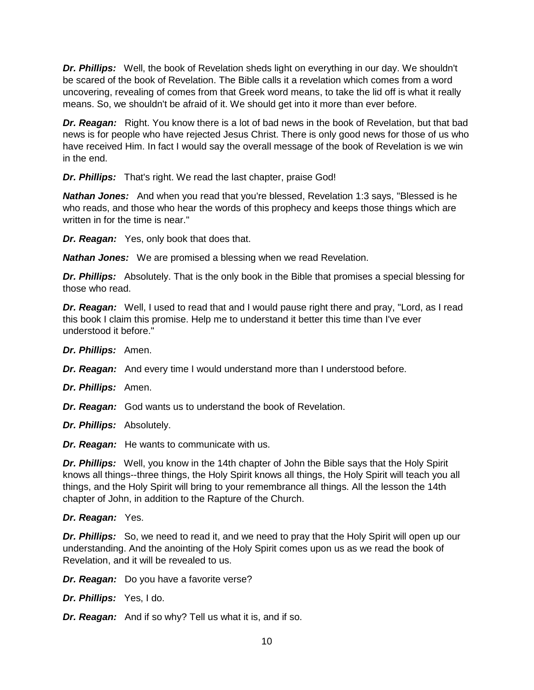*Dr. Phillips:* Well, the book of Revelation sheds light on everything in our day. We shouldn't be scared of the book of Revelation. The Bible calls it a revelation which comes from a word uncovering, revealing of comes from that Greek word means, to take the lid off is what it really means. So, we shouldn't be afraid of it. We should get into it more than ever before.

**Dr. Reagan:** Right. You know there is a lot of bad news in the book of Revelation, but that bad news is for people who have rejected Jesus Christ. There is only good news for those of us who have received Him. In fact I would say the overall message of the book of Revelation is we win in the end.

*Dr. Phillips:* That's right. We read the last chapter, praise God!

*Nathan Jones:* And when you read that you're blessed, Revelation 1:3 says, "Blessed is he who reads, and those who hear the words of this prophecy and keeps those things which are written in for the time is near."

*Dr. Reagan:* Yes, only book that does that.

*Nathan Jones:* We are promised a blessing when we read Revelation.

*Dr. Phillips:* Absolutely. That is the only book in the Bible that promises a special blessing for those who read.

*Dr. Reagan:* Well, I used to read that and I would pause right there and pray, "Lord, as I read this book I claim this promise. Help me to understand it better this time than I've ever understood it before."

*Dr. Phillips:* Amen.

*Dr. Reagan:* And every time I would understand more than I understood before.

*Dr. Phillips:* Amen.

*Dr. Reagan:* God wants us to understand the book of Revelation.

*Dr. Phillips:* Absolutely.

*Dr. Reagan:* He wants to communicate with us.

*Dr. Phillips:* Well, you know in the 14th chapter of John the Bible says that the Holy Spirit knows all things--three things, the Holy Spirit knows all things, the Holy Spirit will teach you all things, and the Holy Spirit will bring to your remembrance all things. All the lesson the 14th chapter of John, in addition to the Rapture of the Church.

## *Dr. Reagan:* Yes.

**Dr. Phillips:** So, we need to read it, and we need to pray that the Holy Spirit will open up our understanding. And the anointing of the Holy Spirit comes upon us as we read the book of Revelation, and it will be revealed to us.

*Dr. Reagan:* Do you have a favorite verse?

*Dr. Phillips:* Yes, I do.

*Dr. Reagan:* And if so why? Tell us what it is, and if so.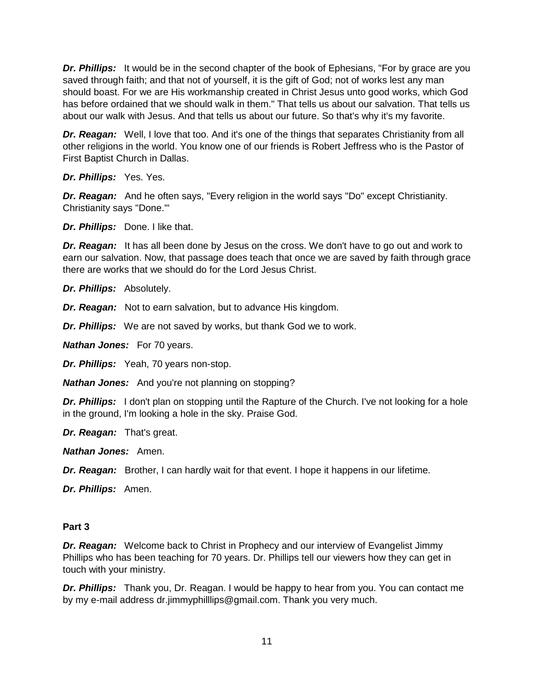*Dr. Phillips:* It would be in the second chapter of the book of Ephesians, "For by grace are you saved through faith; and that not of yourself, it is the gift of God; not of works lest any man should boast. For we are His workmanship created in Christ Jesus unto good works, which God has before ordained that we should walk in them." That tells us about our salvation. That tells us about our walk with Jesus. And that tells us about our future. So that's why it's my favorite.

*Dr. Reagan:* Well, I love that too. And it's one of the things that separates Christianity from all other religions in the world. You know one of our friends is Robert Jeffress who is the Pastor of First Baptist Church in Dallas.

*Dr. Phillips:* Yes. Yes.

*Dr. Reagan:* And he often says, "Every religion in the world says "Do" except Christianity. Christianity says "Done.'"

*Dr. Phillips:* Done. I like that.

*Dr. Reagan:* It has all been done by Jesus on the cross. We don't have to go out and work to earn our salvation. Now, that passage does teach that once we are saved by faith through grace there are works that we should do for the Lord Jesus Christ.

*Dr. Phillips:* Absolutely.

*Dr. Reagan:* Not to earn salvation, but to advance His kingdom.

*Dr. Phillips:* We are not saved by works, but thank God we to work.

*Nathan Jones:* For 70 years.

*Dr. Phillips:* Yeah, 70 years non-stop.

*Nathan Jones:* And you're not planning on stopping?

**Dr. Phillips:** I don't plan on stopping until the Rapture of the Church. I've not looking for a hole in the ground, I'm looking a hole in the sky. Praise God.

*Dr. Reagan:* That's great.

*Nathan Jones:* Amen.

*Dr. Reagan:* Brother, I can hardly wait for that event. I hope it happens in our lifetime.

*Dr. Phillips:* Amen.

## **Part 3**

**Dr. Reagan:** Welcome back to Christ in Prophecy and our interview of Evangelist Jimmy Phillips who has been teaching for 70 years. Dr. Phillips tell our viewers how they can get in touch with your ministry.

*Dr. Phillips:* Thank you, Dr. Reagan. I would be happy to hear from you. You can contact me by my e-mail address dr.jimmyphilllips@gmail.com. Thank you very much.